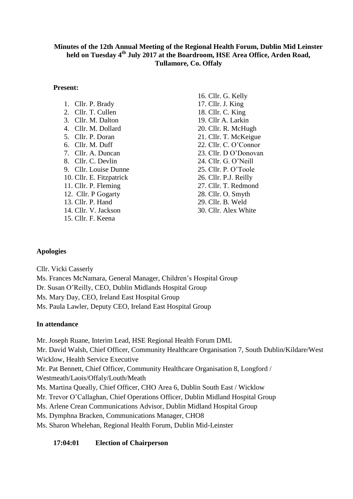## **Minutes of the 12th Annual Meeting of the Regional Health Forum, Dublin Mid Leinster held on Tuesday 4 th July 2017 at the Boardroom, HSE Area Office, Arden Road, Tullamore, Co. Offaly**

### **Present:**

| 1.<br>Cllr. P. Brady                 |
|--------------------------------------|
| Cllr. T. Cullen<br>2.                |
| 3.<br>Cllr. M. Dalton                |
| $\overline{4}$ .<br>Cllr. M. Dollard |
| 5.<br>Cllr. P. Doran                 |
| 6.<br>Cllr. M. Duff                  |
| 7. Cllr. A. Duncan                   |
| 8. Cllr. C. Devlin                   |
| 9. Cllr. Louise Dunne                |
| 10. Cllr. E. Fitzpatrick             |
| 11. Cllr. P. Fleming                 |
| 12. Cllr. P Gogarty                  |
| 13. Cllr. P. Hand                    |
| 14. Cllr. V. Jackson                 |
| 15. Cllr. F. Keena                   |
|                                      |

16. Cllr. G. Kelly 17. Cllr. J. King 18. Cllr. C. King 19. Cllr A. Larkin 20. Cllr. R. McHugh 21. Cllr. T. McKeigue 22. Cllr. C. O'Connor 23. Cllr. D O'Donovan 24. Cllr. G. O'Neill 25. Cllr. P. O'Toole 26. Cllr. P.J. Reilly 27. Cllr. T. Redmond 28. Cllr. O. Smyth 29. Cllr. B. Weld 30. Cllr. Alex White

# **Apologies**

Cllr. Vicki Casserly

Ms. Frances McNamara, General Manager, Children's Hospital Group Dr. Susan O'Reilly, CEO, Dublin Midlands Hospital Group Ms. Mary Day, CEO, Ireland East Hospital Group Ms. Paula Lawler, Deputy CEO, Ireland East Hospital Group

## **In attendance**

Mr. Joseph Ruane, Interim Lead, HSE Regional Health Forum DML

Mr. David Walsh, Chief Officer, Community Healthcare Organisation 7, South Dublin/Kildare/West Wicklow, Health Service Executive

Mr. Pat Bennett, Chief Officer, Community Healthcare Organisation 8, Longford /

Westmeath/Laois/Offaly/Louth/Meath

Ms. Martina Queally, Chief Officer, CHO Area 6, Dublin South East / Wicklow

Mr. Trevor O'Callaghan, Chief Operations Officer, Dublin Midland Hospital Group

Ms. Arlene Crean Communications Advisor, Dublin Midland Hospital Group

Ms. Dymphna Bracken, Communications Manager, CHO8

Ms. Sharon Whelehan, Regional Health Forum, Dublin Mid-Leinster

## **17:04:01 Election of Chairperson**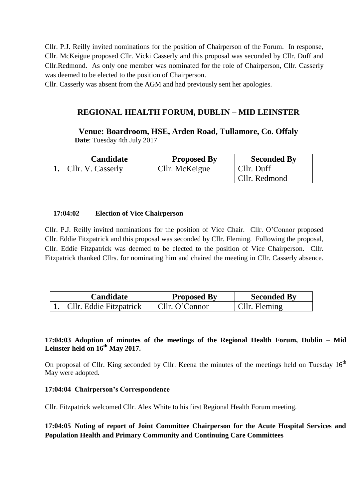Cllr. P.J. Reilly invited nominations for the position of Chairperson of the Forum. In response, Cllr. McKeigue proposed Cllr. Vicki Casserly and this proposal was seconded by Cllr. Duff and Cllr.Redmond. As only one member was nominated for the role of Chairperson, Cllr. Casserly was deemed to be elected to the position of Chairperson.

Cllr. Casserly was absent from the AGM and had previously sent her apologies.

# **REGIONAL HEALTH FORUM, DUBLIN – MID LEINSTER**

**Venue: Boardroom, HSE, Arden Road, Tullamore, Co. Offaly Date**: Tuesday 4th July 2017

| Candidate              | <b>Proposed By</b> | <b>Seconded By</b> |
|------------------------|--------------------|--------------------|
| 1. $Cllr. V. Casserly$ | Cllr. McKeigue     | Cllr. Duff         |
|                        |                    | Cllr. Redmond      |

### **17:04:02 Election of Vice Chairperson**

Cllr. P.J. Reilly invited nominations for the position of Vice Chair. Cllr. O'Connor proposed Cllr. Eddie Fitzpatrick and this proposal was seconded by Cllr. Fleming. Following the proposal, Cllr. Eddie Fitzpatrick was deemed to be elected to the position of Vice Chairperson. Cllr. Fitzpatrick thanked Cllrs. for nominating him and chaired the meeting in Cllr. Casserly absence.

| <b>Candidate</b>                  | <b>Proposed By</b> | <b>Seconded By</b>    |
|-----------------------------------|--------------------|-----------------------|
| <b>1.</b> Cllr. Eddie Fitzpatrick | Cllr. O'Connor     | $\vert$ Cllr. Fleming |

## **17:04:03 Adoption of minutes of the meetings of the Regional Health Forum, Dublin – Mid**  Leinster held on  $16^{\text{th}}$  May 2017.

On proposal of Cllr. King seconded by Cllr. Keena the minutes of the meetings held on Tuesday 16<sup>th</sup> May were adopted.

### **17:04:04 Chairperson's Correspondence**

Cllr. Fitzpatrick welcomed Cllr. Alex White to his first Regional Health Forum meeting.

**17:04:05 Noting of report of Joint Committee Chairperson for the Acute Hospital Services and Population Health and Primary Community and Continuing Care Committees**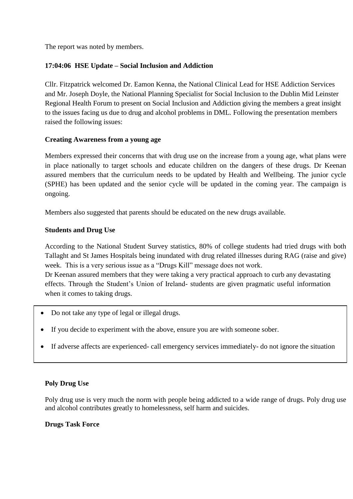The report was noted by members.

## **17:04:06 HSE Update – Social Inclusion and Addiction**

Cllr. Fitzpatrick welcomed Dr. Eamon Kenna, the National Clinical Lead for HSE Addiction Services and Mr. Joseph Doyle, the National Planning Specialist for Social Inclusion to the Dublin Mid Leinster Regional Health Forum to present on Social Inclusion and Addiction giving the members a great insight to the issues facing us due to drug and alcohol problems in DML. Following the presentation members raised the following issues:

## **Creating Awareness from a young age**

Members expressed their concerns that with drug use on the increase from a young age, what plans were in place nationally to target schools and educate children on the dangers of these drugs. Dr Keenan assured members that the curriculum needs to be updated by Health and Wellbeing. The junior cycle (SPHE) has been updated and the senior cycle will be updated in the coming year. The campaign is ongoing.

Members also suggested that parents should be educated on the new drugs available.

## **Students and Drug Use**

According to the National Student Survey statistics, 80% of college students had tried drugs with both Tallaght and St James Hospitals being inundated with drug related illnesses during RAG (raise and give) week. This is a very serious issue as a "Drugs Kill" message does not work. Dr Keenan assured members that they were taking a very practical approach to curb any devastating effects. Through the Student's Union of Ireland- students are given pragmatic useful information

when it comes to taking drugs.

- Do not take any type of legal or illegal drugs.
- If you decide to experiment with the above, ensure you are with someone sober.
- If adverse affects are experienced- call emergency services immediately- do not ignore the situation

# **Poly Drug Use**

Poly drug use is very much the norm with people being addicted to a wide range of drugs. Poly drug use and alcohol contributes greatly to homelessness, self harm and suicides.

## **Drugs Task Force**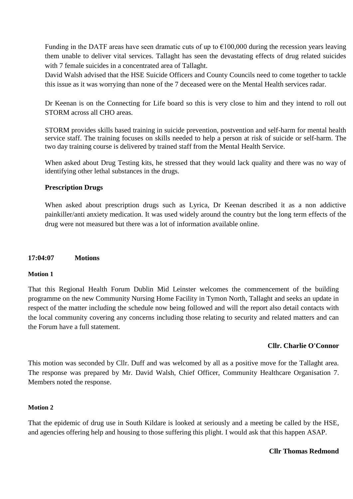Funding in the DATF areas have seen dramatic cuts of up to  $\epsilon$ 100,000 during the recession years leaving them unable to deliver vital services. Tallaght has seen the devastating effects of drug related suicides with 7 female suicides in a concentrated area of Tallaght.

David Walsh advised that the HSE Suicide Officers and County Councils need to come together to tackle this issue as it was worrying than none of the 7 deceased were on the Mental Health services radar.

Dr Keenan is on the Connecting for Life board so this is very close to him and they intend to roll out STORM across all CHO areas.

STORM provides skills based training in suicide prevention, postvention and self-harm for mental health service staff. The training focuses on skills needed to help a person at risk of suicide or self-harm. The two day training course is delivered by trained staff from the Mental Health Service.

When asked about Drug Testing kits, he stressed that they would lack quality and there was no way of identifying other lethal substances in the drugs.

### **Prescription Drugs**

When asked about prescription drugs such as Lyrica, Dr Keenan described it as a non addictive painkiller/anti anxiety medication. It was used widely around the country but the long term effects of the drug were not measured but there was a lot of information available online.

### **17:04:07 Motions**

### **Motion 1**

That this Regional Health Forum Dublin Mid Leinster welcomes the commencement of the building programme on the new Community Nursing Home Facility in Tymon North, Tallaght and seeks an update in respect of the matter including the schedule now being followed and will the report also detail contacts with the local community covering any concerns including those relating to security and related matters and can the Forum have a full statement.

### **Cllr. Charlie O'Connor**

This motion was seconded by Cllr. Duff and was welcomed by all as a positive move for the Tallaght area. The response was prepared by Mr. David Walsh, Chief Officer, Community Healthcare Organisation 7. Members noted the response.

### **Motion 2**

That the epidemic of drug use in South Kildare is looked at seriously and a meeting be called by the HSE, and agencies offering help and housing to those suffering this plight. I would ask that this happen ASAP.

#### **Cllr Thomas Redmond**